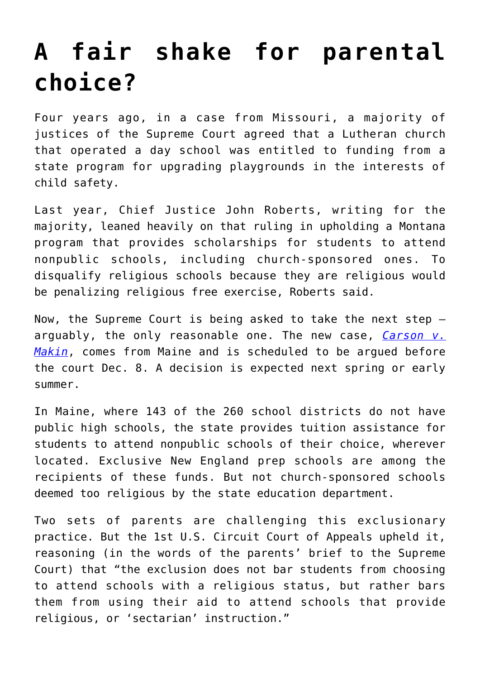## **[A fair shake for parental](https://www.osvnews.com/amp/2021/11/29/a-fair-shake-for-parental-choice/) [choice?](https://www.osvnews.com/amp/2021/11/29/a-fair-shake-for-parental-choice/)**

Four years ago, in a case from Missouri, a majority of justices of the Supreme Court agreed that a Lutheran church that operated a day school was entitled to funding from a state program for upgrading playgrounds in the interests of child safety.

Last year, Chief Justice John Roberts, writing for the majority, leaned heavily on that ruling in upholding a Montana program that provides scholarships for students to attend nonpublic schools, including church-sponsored ones. To disqualify religious schools because they are religious would be penalizing religious free exercise, Roberts said.

Now, the Supreme Court is being asked to take the next step arguably, the only reasonable one. The new case, *[Carson v.](https://www.osvnews.com/2021/09/16/court-to-hear-case-on-religious-schools-barred-from-maine-choice-program/) [Makin](https://www.osvnews.com/2021/09/16/court-to-hear-case-on-religious-schools-barred-from-maine-choice-program/)*, comes from Maine and is scheduled to be argued before the court Dec. 8. A decision is expected next spring or early summer.

In Maine, where 143 of the 260 school districts do not have public high schools, the state provides tuition assistance for students to attend nonpublic schools of their choice, wherever located. Exclusive New England prep schools are among the recipients of these funds. But not church-sponsored schools deemed too religious by the state education department.

Two sets of parents are challenging this exclusionary practice. But the 1st U.S. Circuit Court of Appeals upheld it, reasoning (in the words of the parents' brief to the Supreme Court) that "the exclusion does not bar students from choosing to attend schools with a religious status, but rather bars them from using their aid to attend schools that provide religious, or 'sectarian' instruction."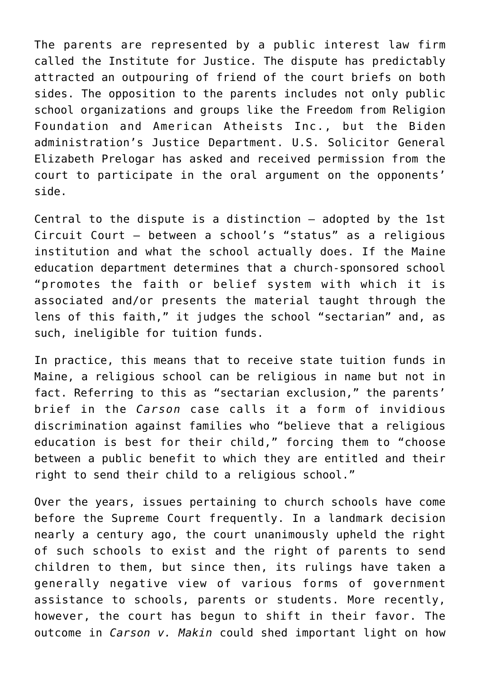The parents are represented by a public interest law firm called the Institute for Justice. The dispute has predictably attracted an outpouring of friend of the court briefs on both sides. The opposition to the parents includes not only public school organizations and groups like the Freedom from Religion Foundation and American Atheists Inc., but the Biden administration's Justice Department. U.S. Solicitor General Elizabeth Prelogar has asked and received permission from the court to participate in the oral argument on the opponents' side.

Central to the dispute is a distinction — adopted by the 1st Circuit Court — between a school's "status" as a religious institution and what the school actually does. If the Maine education department determines that a church-sponsored school "promotes the faith or belief system with which it is associated and/or presents the material taught through the lens of this faith," it judges the school "sectarian" and, as such, ineligible for tuition funds.

In practice, this means that to receive state tuition funds in Maine, a religious school can be religious in name but not in fact. Referring to this as "sectarian exclusion," the parents' brief in the *Carson* case calls it a form of invidious discrimination against families who "believe that a religious education is best for their child," forcing them to "choose between a public benefit to which they are entitled and their right to send their child to a religious school."

Over the years, issues pertaining to church schools have come before the Supreme Court frequently. In a landmark decision nearly a century ago, the court unanimously upheld the right of such schools to exist and the right of parents to send children to them, but since then, its rulings have taken a generally negative view of various forms of government assistance to schools, parents or students. More recently, however, the court has begun to shift in their favor. The outcome in *Carson v. Makin* could shed important light on how